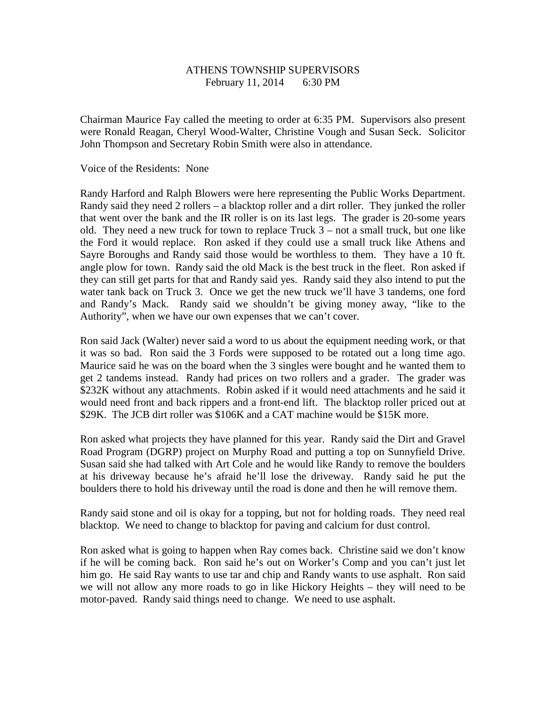## ATHENS TOWNSHIP SUPERVISORS February 11, 2014 6:30 PM

Chairman Maurice Fay called the meeting to order at 6:35 PM. Supervisors also present were Ronald Reagan, Cheryl Wood-Walter, Christine Vough and Susan Seck. Solicitor John Thompson and Secretary Robin Smith were also in attendance.

Voice of the Residents: None

Randy Harford and Ralph Blowers were here representing the Public Works Department. Randy said they need 2 rollers – a blacktop roller and a dirt roller. They junked the roller that went over the bank and the IR roller is on its last legs. The grader is 20-some years old. They need a new truck for town to replace Truck  $3 - not$  a small truck, but one like the Ford it would replace. Ron asked if they could use a small truck like Athens and Sayre Boroughs and Randy said those would be worthless to them. They have a 10 ft. angle plow for town. Randy said the old Mack is the best truck in the fleet. Ron asked if they can still get parts for that and Randy said yes. Randy said they also intend to put the water tank back on Truck 3. Once we get the new truck we'll have 3 tandems, one ford and Randy's Mack. Randy said we shouldn't be giving money away, "like to the Authority", when we have our own expenses that we can't cover.

Ron said Jack (Walter) never said a word to us about the equipment needing work, or that it was so bad. Ron said the 3 Fords were supposed to be rotated out a long time ago. Maurice said he was on the board when the 3 singles were bought and he wanted them to get 2 tandems instead. Randy had prices on two rollers and a grader. The grader was \$232K without any attachments. Robin asked if it would need attachments and he said it would need front and back rippers and a front-end lift. The blacktop roller priced out at \$29K. The JCB dirt roller was \$106K and a CAT machine would be \$15K more.

Ron asked what projects they have planned for this year. Randy said the Dirt and Gravel Road Program (DGRP) project on Murphy Road and putting a top on Sunnyfield Drive. Susan said she had talked with Art Cole and he would like Randy to remove the boulders at his driveway because he's afraid he'll lose the driveway. Randy said he put the boulders there to hold his driveway until the road is done and then he will remove them.

Randy said stone and oil is okay for a topping, but not for holding roads. They need real blacktop. We need to change to blacktop for paving and calcium for dust control.

Ron asked what is going to happen when Ray comes back. Christine said we don't know if he will be coming back. Ron said he's out on Worker's Comp and you can't just let him go. He said Ray wants to use tar and chip and Randy wants to use asphalt. Ron said we will not allow any more roads to go in like Hickory Heights – they will need to be motor-paved. Randy said things need to change. We need to use asphalt.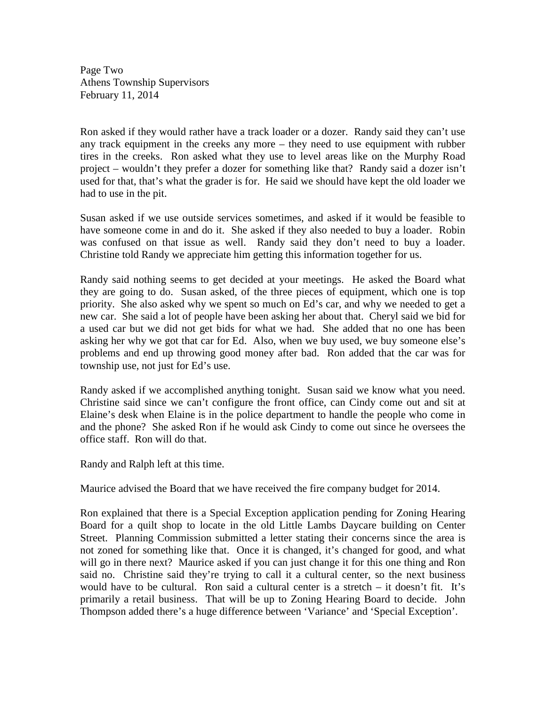Page Two Athens Township Supervisors February 11, 2014

Ron asked if they would rather have a track loader or a dozer. Randy said they can't use any track equipment in the creeks any more – they need to use equipment with rubber tires in the creeks. Ron asked what they use to level areas like on the Murphy Road project – wouldn't they prefer a dozer for something like that? Randy said a dozer isn't used for that, that's what the grader is for. He said we should have kept the old loader we had to use in the pit.

Susan asked if we use outside services sometimes, and asked if it would be feasible to have someone come in and do it. She asked if they also needed to buy a loader. Robin was confused on that issue as well. Randy said they don't need to buy a loader. Christine told Randy we appreciate him getting this information together for us.

Randy said nothing seems to get decided at your meetings. He asked the Board what they are going to do. Susan asked, of the three pieces of equipment, which one is top priority. She also asked why we spent so much on Ed's car, and why we needed to get a new car. She said a lot of people have been asking her about that. Cheryl said we bid for a used car but we did not get bids for what we had. She added that no one has been asking her why we got that car for Ed. Also, when we buy used, we buy someone else's problems and end up throwing good money after bad. Ron added that the car was for township use, not just for Ed's use.

Randy asked if we accomplished anything tonight. Susan said we know what you need. Christine said since we can't configure the front office, can Cindy come out and sit at Elaine's desk when Elaine is in the police department to handle the people who come in and the phone? She asked Ron if he would ask Cindy to come out since he oversees the office staff. Ron will do that.

Randy and Ralph left at this time.

Maurice advised the Board that we have received the fire company budget for 2014.

Ron explained that there is a Special Exception application pending for Zoning Hearing Board for a quilt shop to locate in the old Little Lambs Daycare building on Center Street. Planning Commission submitted a letter stating their concerns since the area is not zoned for something like that. Once it is changed, it's changed for good, and what will go in there next? Maurice asked if you can just change it for this one thing and Ron said no. Christine said they're trying to call it a cultural center, so the next business would have to be cultural. Ron said a cultural center is a stretch – it doesn't fit. It's primarily a retail business. That will be up to Zoning Hearing Board to decide. John Thompson added there's a huge difference between 'Variance' and 'Special Exception'.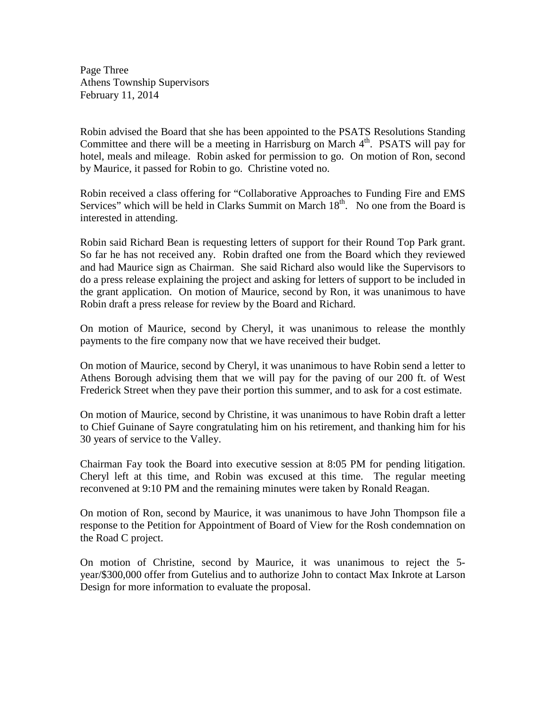Page Three Athens Township Supervisors February 11, 2014

Robin advised the Board that she has been appointed to the PSATS Resolutions Standing Committee and there will be a meeting in Harrisburg on March  $4<sup>th</sup>$ . PSATS will pay for hotel, meals and mileage. Robin asked for permission to go. On motion of Ron, second by Maurice, it passed for Robin to go. Christine voted no.

Robin received a class offering for "Collaborative Approaches to Funding Fire and EMS Services" which will be held in Clarks Summit on March  $18<sup>th</sup>$ . No one from the Board is interested in attending.

Robin said Richard Bean is requesting letters of support for their Round Top Park grant. So far he has not received any. Robin drafted one from the Board which they reviewed and had Maurice sign as Chairman. She said Richard also would like the Supervisors to do a press release explaining the project and asking for letters of support to be included in the grant application. On motion of Maurice, second by Ron, it was unanimous to have Robin draft a press release for review by the Board and Richard.

On motion of Maurice, second by Cheryl, it was unanimous to release the monthly payments to the fire company now that we have received their budget.

On motion of Maurice, second by Cheryl, it was unanimous to have Robin send a letter to Athens Borough advising them that we will pay for the paving of our 200 ft. of West Frederick Street when they pave their portion this summer, and to ask for a cost estimate.

On motion of Maurice, second by Christine, it was unanimous to have Robin draft a letter to Chief Guinane of Sayre congratulating him on his retirement, and thanking him for his 30 years of service to the Valley.

Chairman Fay took the Board into executive session at 8:05 PM for pending litigation. Cheryl left at this time, and Robin was excused at this time. The regular meeting reconvened at 9:10 PM and the remaining minutes were taken by Ronald Reagan.

On motion of Ron, second by Maurice, it was unanimous to have John Thompson file a response to the Petition for Appointment of Board of View for the Rosh condemnation on the Road C project.

On motion of Christine, second by Maurice, it was unanimous to reject the 5 year/\$300,000 offer from Gutelius and to authorize John to contact Max Inkrote at Larson Design for more information to evaluate the proposal.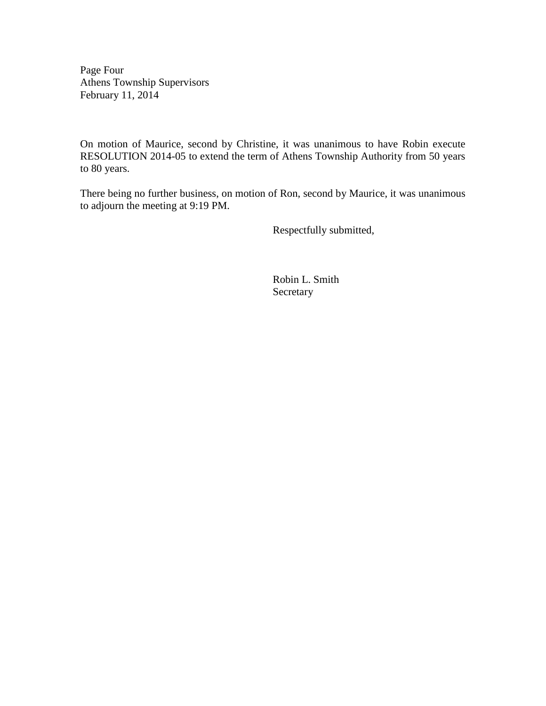Page Four Athens Township Supervisors February 11, 2014

On motion of Maurice, second by Christine, it was unanimous to have Robin execute RESOLUTION 2014-05 to extend the term of Athens Township Authority from 50 years to 80 years.

There being no further business, on motion of Ron, second by Maurice, it was unanimous to adjourn the meeting at 9:19 PM.

Respectfully submitted,

 Robin L. Smith Secretary